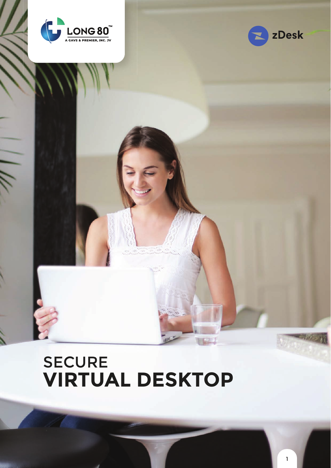



# **SECURE VIRTUAL DESKTOP**

1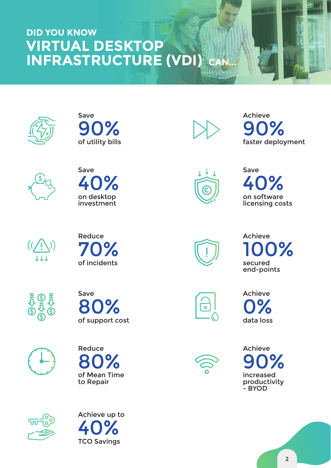### **VIRTUAL DESKTOP INFRASTRUCTURE (VDI) DID YOU KNOW CAN...**







of utility bills

90%

Save



Achieve faster deployment 90%



Save on software licensing costs 40%



















Achieve secured end-points 0%



Achieve data loss n%



Achieve increased productivity - BYOD 90%

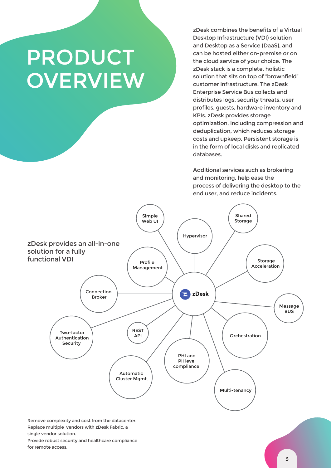# PRODUCT **OVERVIEW**

zDesk combines the benefits of a Virtual Desktop Infrastructure (VDI) solution and Desktop as a Service (DaaS), and can be hosted either on-premise or on the cloud service of your choice. The zDesk stack is a complete, holistic solution that sits on top of "brownfield" customer infrastructure. The zDesk Enterprise Service Bus collects and distributes logs, security threats, user profiles, guests, hardware inventory and KPIs. zDesk provides storage optimization, including compression and deduplication, which reduces storage costs and upkeep. Persistent storage is in the form of local disks and replicated databases.

Additional services such as brokering and monitoring, help ease the process of delivering the desktop to the end user, and reduce incidents.



Provide robust security and healthcare compliance for remote access.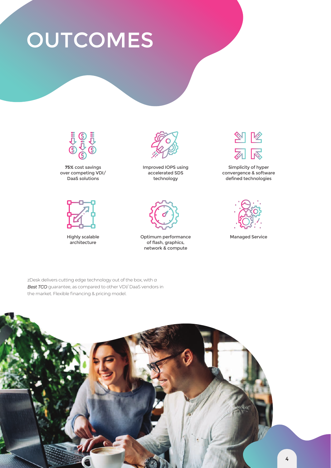# **OUTCOMES**







Highly scalable architecture



Improved IOPS using accelerated SDS technology



Optimum performance of flash, graphics, network & compute



Simplicity of hyper convergence & software defined technologies



Managed Service

zDesk delivers cutting edge technology out of the box, with *a Best TCO* guarantee, as compared to other VDI/ DaaS vendors in the market. Flexible financing & pricing model.

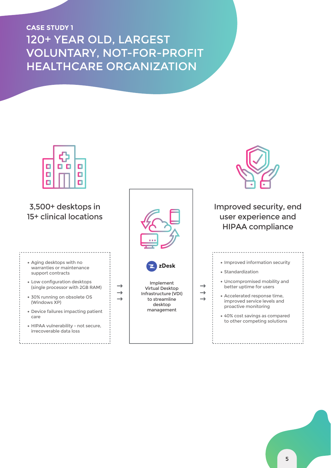### 120+ YEAR OLD, LARGEST VOLUNTARY, NOT-FOR-PROFIT HEALTHCARE ORGANIZATION **CASE STUDY 1**

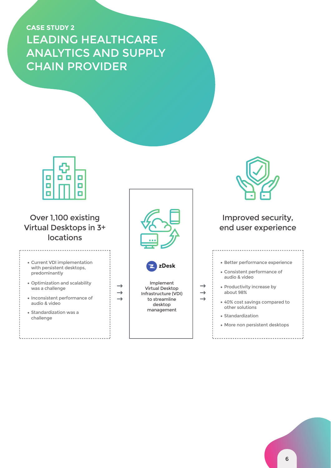## LEADING HEALTHCARE ANALYTICS AND SUPPLY CHAIN PROVIDER **CASE STUDY 2**

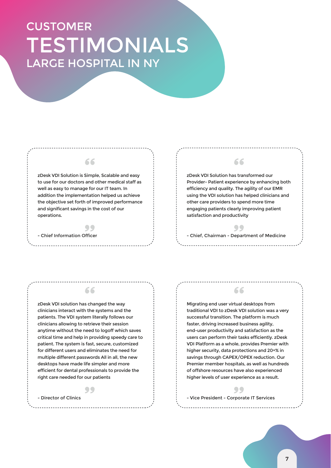## TESTIMONIALS CUSTOMER LARGE HOSPITAL IN NY

#### zDesk VDI Solution is Simple, Scalable and easy to use for our doctors and other medical staff as well as easy to manage for our IT team. In addition the implementation helped us achieve the objective set forth of improved performance and significant savings in the cost of our operations.

 $\bullet\bullet$ 

66

- Chief Information Officer

### 66

zDesk VDI Solution has transformed our Provider- Patient experience by enhancing both efficiency and quality. The agility of our EMR using the VDI solution has helped clinicians and other care providers to spend more time engaging patients clearly improving patient satisfaction and productivity

99 - Chief, Chairman - Department of Medicine

zDesk VDI solution has changed the way clinicians interact with the systems and the patients. The VDI system literally follows our clinicians allowing to retrieve their session anytime without the need to logoff which saves critical time and help in providing speedy care to patient. The system is fast, secure, customized for different users and eliminates the need for multiple different passwords All in all, the new desktops have made life simpler and more efficient for dental professionals to provide the right care needed for our patients

66

### 99

- Director of Clinics

Migrating end user virtual desktops from traditional VDI to zDesk VDI solution was a very successful transition. The platform is much faster, driving increased business agility, end-user productivity and satisfaction as the users can perform their tasks efficiently. zDesk VDI Platform as a whole, provides Premier with higher security, data protections and 20+% in savings through CAPEX/OPEX reduction. Our Premier member hospitals, as well as hundreds of offshore resources have also experienced higher levels of user experience as a result.

66

#### 99

- Vice President - Corporate IT Services